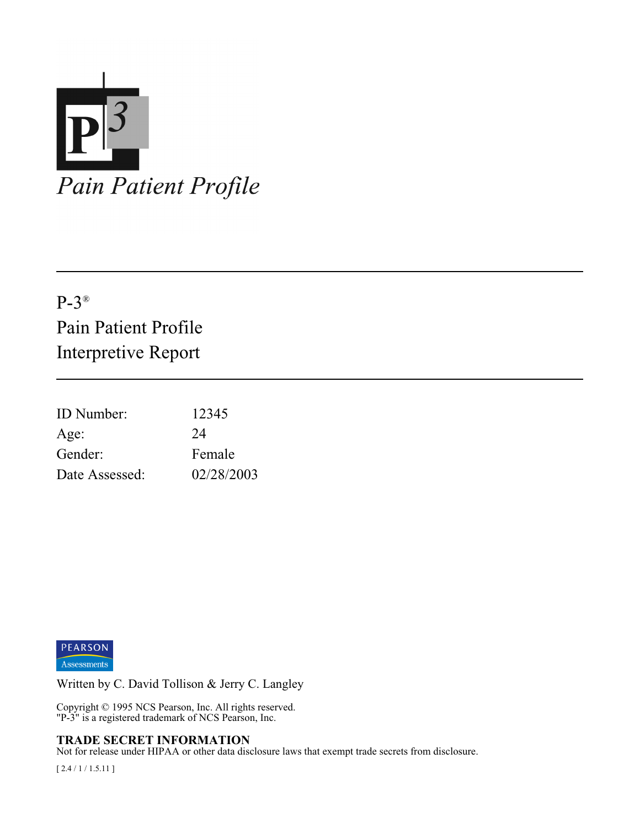

# P-3® Pain Patient Profile Interpretive Report

| <b>ID</b> Number: | 12345      |
|-------------------|------------|
| Age:              | 24         |
| Gender:           | Female     |
| Date Assessed:    | 02/28/2003 |



Written by C. David Tollison & Jerry C. Langley

Copyright © 1995 NCS Pearson, Inc. All rights reserved. "P-3" is a registered trademark of NCS Pearson, Inc.

#### **TRADE SECRET INFORMATION**

Not for release under HIPAA or other data disclosure laws that exempt trade secrets from disclosure.

[ 2.4 / 1 / 1.5.11 ]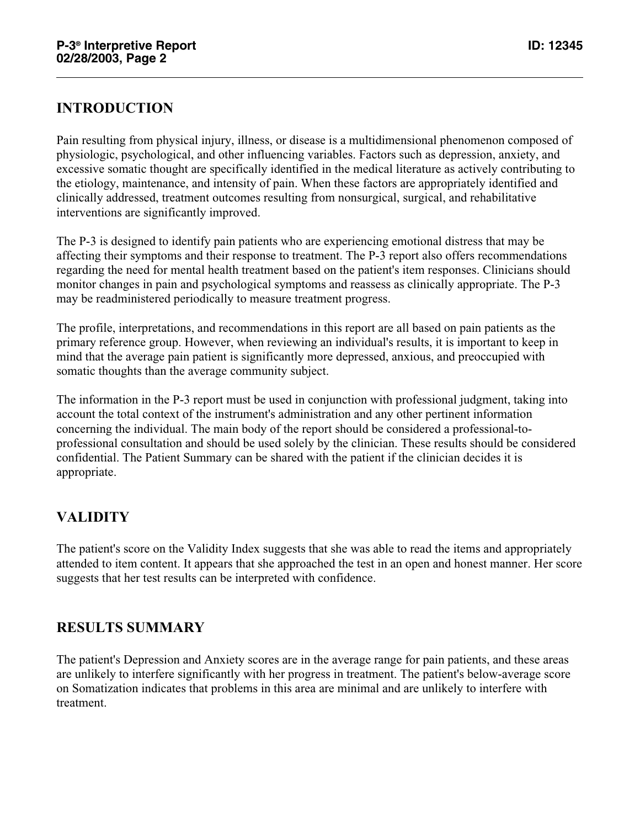## **INTRODUCTION**

Pain resulting from physical injury, illness, or disease is a multidimensional phenomenon composed of physiologic, psychological, and other influencing variables. Factors such as depression, anxiety, and excessive somatic thought are specifically identified in the medical literature as actively contributing to the etiology, maintenance, and intensity of pain. When these factors are appropriately identified and clinically addressed, treatment outcomes resulting from nonsurgical, surgical, and rehabilitative interventions are significantly improved.

The P-3 is designed to identify pain patients who are experiencing emotional distress that may be affecting their symptoms and their response to treatment. The P-3 report also offers recommendations regarding the need for mental health treatment based on the patient's item responses. Clinicians should monitor changes in pain and psychological symptoms and reassess as clinically appropriate. The P-3 may be readministered periodically to measure treatment progress.

The profile, interpretations, and recommendations in this report are all based on pain patients as the primary reference group. However, when reviewing an individual's results, it is important to keep in mind that the average pain patient is significantly more depressed, anxious, and preoccupied with somatic thoughts than the average community subject.

The information in the P-3 report must be used in conjunction with professional judgment, taking into account the total context of the instrument's administration and any other pertinent information concerning the individual. The main body of the report should be considered a professional-toprofessional consultation and should be used solely by the clinician. These results should be considered confidential. The Patient Summary can be shared with the patient if the clinician decides it is appropriate.

# **VALIDITY**

The patient's score on the Validity Index suggests that she was able to read the items and appropriately attended to item content. It appears that she approached the test in an open and honest manner. Her score suggests that her test results can be interpreted with confidence.

#### **RESULTS SUMMARY**

The patient's Depression and Anxiety scores are in the average range for pain patients, and these areas are unlikely to interfere significantly with her progress in treatment. The patient's below-average score on Somatization indicates that problems in this area are minimal and are unlikely to interfere with treatment.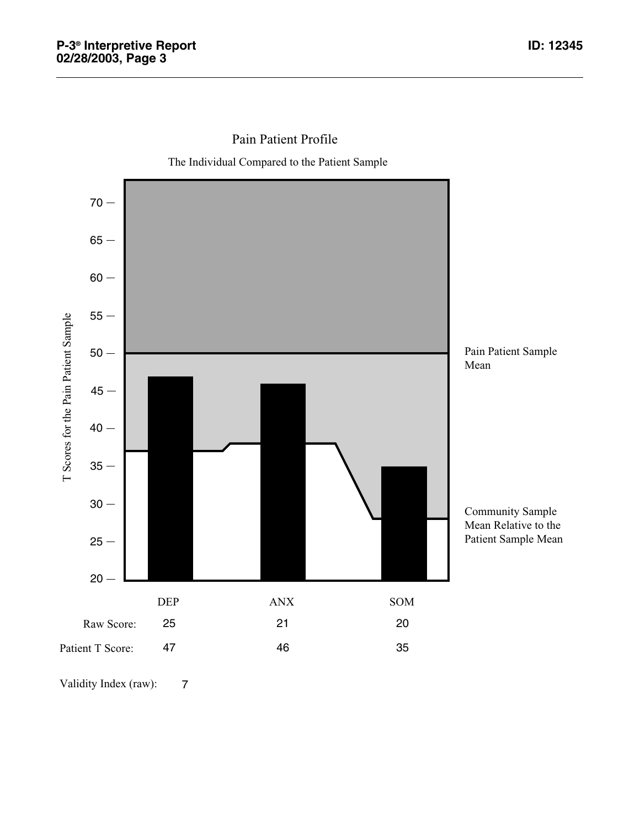

Pain Patient Profile

The Individual Compared to the Patient Sample

Validity Index (raw): 7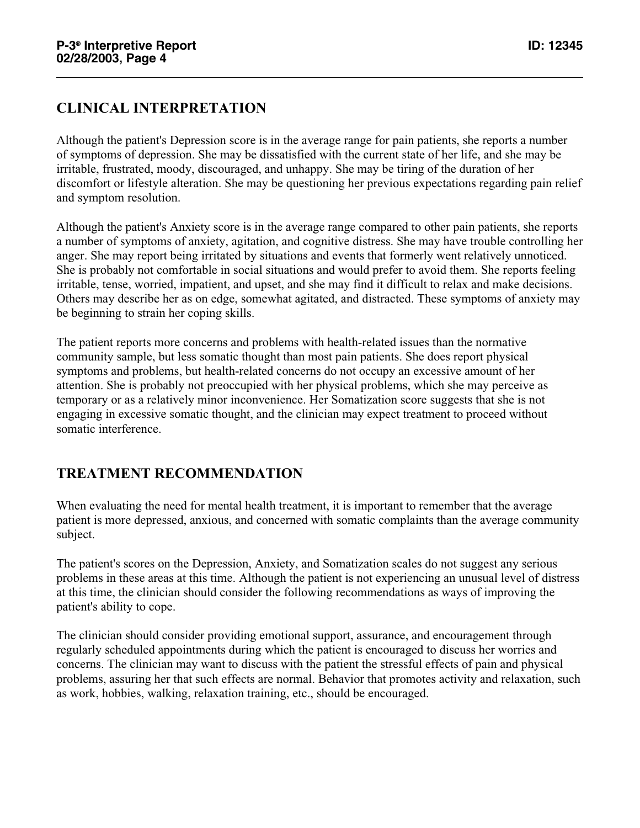# **CLINICAL INTERPRETATION**

Although the patient's Depression score is in the average range for pain patients, she reports a number of symptoms of depression. She may be dissatisfied with the current state of her life, and she may be irritable, frustrated, moody, discouraged, and unhappy. She may be tiring of the duration of her discomfort or lifestyle alteration. She may be questioning her previous expectations regarding pain relief and symptom resolution.

Although the patient's Anxiety score is in the average range compared to other pain patients, she reports a number of symptoms of anxiety, agitation, and cognitive distress. She may have trouble controlling her anger. She may report being irritated by situations and events that formerly went relatively unnoticed. She is probably not comfortable in social situations and would prefer to avoid them. She reports feeling irritable, tense, worried, impatient, and upset, and she may find it difficult to relax and make decisions. Others may describe her as on edge, somewhat agitated, and distracted. These symptoms of anxiety may be beginning to strain her coping skills.

The patient reports more concerns and problems with health-related issues than the normative community sample, but less somatic thought than most pain patients. She does report physical symptoms and problems, but health-related concerns do not occupy an excessive amount of her attention. She is probably not preoccupied with her physical problems, which she may perceive as temporary or as a relatively minor inconvenience. Her Somatization score suggests that she is not engaging in excessive somatic thought, and the clinician may expect treatment to proceed without somatic interference.

# **TREATMENT RECOMMENDATION**

When evaluating the need for mental health treatment, it is important to remember that the average patient is more depressed, anxious, and concerned with somatic complaints than the average community subject.

The patient's scores on the Depression, Anxiety, and Somatization scales do not suggest any serious problems in these areas at this time. Although the patient is not experiencing an unusual level of distress at this time, the clinician should consider the following recommendations as ways of improving the patient's ability to cope.

The clinician should consider providing emotional support, assurance, and encouragement through regularly scheduled appointments during which the patient is encouraged to discuss her worries and concerns. The clinician may want to discuss with the patient the stressful effects of pain and physical problems, assuring her that such effects are normal. Behavior that promotes activity and relaxation, such as work, hobbies, walking, relaxation training, etc., should be encouraged.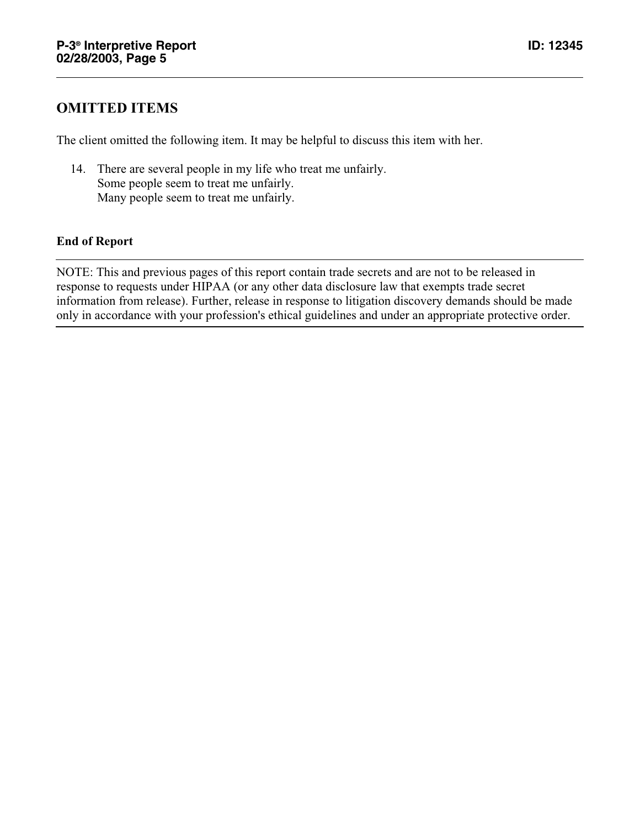### **OMITTED ITEMS**

The client omitted the following item. It may be helpful to discuss this item with her.

14. There are several people in my life who treat me unfairly. Some people seem to treat me unfairly. Many people seem to treat me unfairly.

#### **End of Report**

NOTE: This and previous pages of this report contain trade secrets and are not to be released in response to requests under HIPAA (or any other data disclosure law that exempts trade secret information from release). Further, release in response to litigation discovery demands should be made only in accordance with your profession's ethical guidelines and under an appropriate protective order.